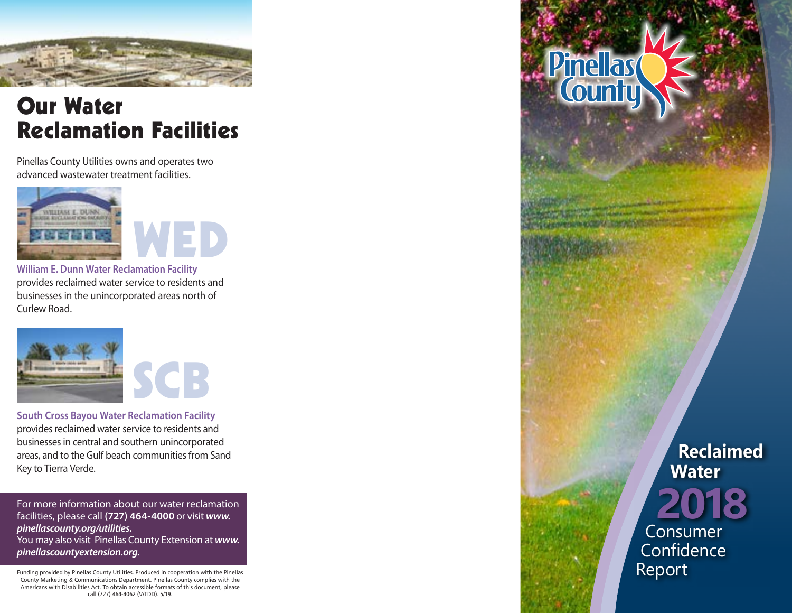

# Our Water Reclamation Facilities

Pinellas County Utilities owns and operates two advanced wastewater treatment facilities.



**William E. Dunn Water Reclamation Facility** provides reclaimed water service to residents and businesses in the unincorporated areas north of Curlew Road.



**South Cross Bayou Water Reclamation Facility** provides reclaimed water service to residents and businesses in central and southern unincorporated areas, and to the Gulf beach communities from Sand Key to Tierra Verde.

For more information about our water reclamation facilities, please call **(727) 464-4000** or visit *www. pinellascounty.org/utilities.* You may also visit Pinellas County Extension at *www.*

*pinellascountyextension.org.*

Funding provided by Pinellas County Utilities. Produced in cooperation with the Pinellas County Marketing & Communications Department. Pinellas County complies with the Americans with Disabilities Act. To obtain accessible formats of this document, please call (727) 464-4062 (V/TDD). 5/19.

 **Reclaimed Water 2018** Consumer **Confidence** 

Report

Pinellas